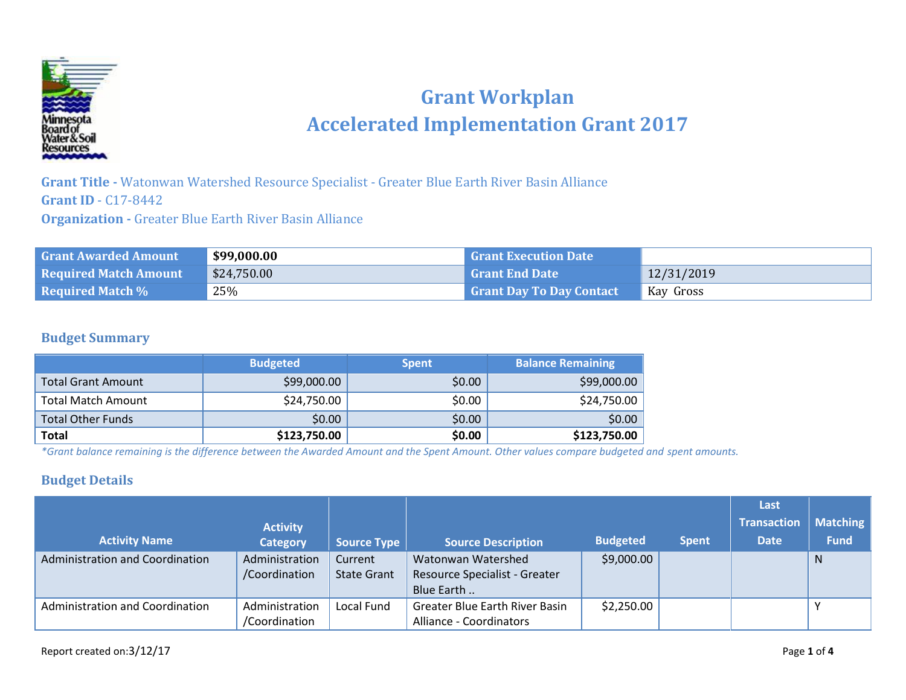

# **Grant Workplan Accelerated Implementation Grant 2017**

**Grant Title -** Watonwan Watershed Resource Specialist - Greater Blue Earth River Basin Alliance **Grant ID** - C17-8442 **Organization -** Greater Blue Earth River Basin Alliance

| <b>Grant Awarded Amount</b>  | \$99,000.00 | <b>Grant Execution Date</b>     |            |
|------------------------------|-------------|---------------------------------|------------|
| <b>Required Match Amount</b> | \$24,750.00 | <b>Grant End Date</b>           | 12/31/2019 |
| <b>Required Match %</b>      | 25%         | <b>Grant Day To Day Contact</b> | Kay Gross  |

#### **Budget Summary**

|                           | <b>Budgeted</b> | <b>Spent</b> | <b>Balance Remaining</b> |
|---------------------------|-----------------|--------------|--------------------------|
| <b>Total Grant Amount</b> | \$99,000.00     | \$0.00       | \$99,000.00              |
| <b>Total Match Amount</b> | \$24,750.00     | \$0.00       | \$24,750.00              |
| <b>Total Other Funds</b>  | \$0.00          | \$0.00       | \$0.00                   |
| <b>Total</b>              | \$123,750.00    | \$0.00       | \$123,750.00             |

*\*Grant balance remaining is the difference between the Awarded Amount and the Spent Amount. Other values compare budgeted and spent amounts.*

#### **Budget Details**

|                                 |                                    |                               |                                                                   |                 |              | Last                              |                                |
|---------------------------------|------------------------------------|-------------------------------|-------------------------------------------------------------------|-----------------|--------------|-----------------------------------|--------------------------------|
| <b>Activity Name</b>            | <b>Activity</b><br><b>Category</b> | <b>Source Type</b>            | <b>Source Description</b>                                         | <b>Budgeted</b> | <b>Spent</b> | <b>Transaction</b><br><b>Date</b> | <b>Matching</b><br><b>Fund</b> |
| Administration and Coordination | Administration<br>/Coordination    | Current<br><b>State Grant</b> | Watonwan Watershed<br>Resource Specialist - Greater<br>Blue Earth | \$9,000.00      |              |                                   | N                              |
| Administration and Coordination | Administration<br>/Coordination    | <b>Local Fund</b>             | <b>Greater Blue Earth River Basin</b><br>Alliance - Coordinators  | \$2,250.00      |              |                                   |                                |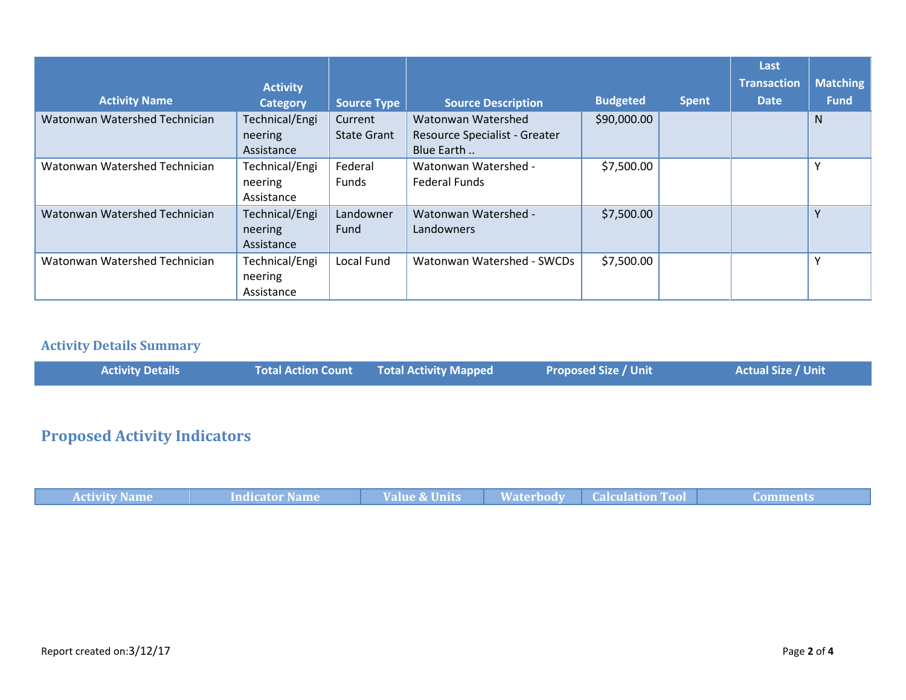| <b>Activity Name</b>          | <b>Activity</b><br><b>Category</b>      | <b>Source Type</b>            | <b>Source Description</b>                                         | <b>Budgeted</b> | <b>Spent</b> | Last<br><b>Transaction</b><br><b>Date</b> | <b>Matching</b><br><b>Fund</b> |
|-------------------------------|-----------------------------------------|-------------------------------|-------------------------------------------------------------------|-----------------|--------------|-------------------------------------------|--------------------------------|
| Watonwan Watershed Technician | Technical/Engi<br>neering<br>Assistance | Current<br><b>State Grant</b> | Watonwan Watershed<br>Resource Specialist - Greater<br>Blue Earth | \$90,000.00     |              |                                           | N                              |
| Watonwan Watershed Technician | Technical/Engi<br>neering<br>Assistance | Federal<br>Funds              | Watonwan Watershed -<br><b>Federal Funds</b>                      | \$7,500.00      |              |                                           |                                |
| Watonwan Watershed Technician | Technical/Engi<br>neering<br>Assistance | Landowner<br>Fund             | Watonwan Watershed -<br>Landowners                                | \$7,500.00      |              |                                           |                                |
| Watonwan Watershed Technician | Technical/Engi<br>neering<br>Assistance | Local Fund                    | Watonwan Watershed - SWCDs                                        | \$7,500.00      |              |                                           |                                |

### **Activity Details Summary**

|  | <b>Activity Details</b> |  | <b>Total Action Count Total Activity Mapped</b> | <b>Proposed Size / Unit</b> | <b>Actual Size / Unit</b> |
|--|-------------------------|--|-------------------------------------------------|-----------------------------|---------------------------|
|--|-------------------------|--|-------------------------------------------------|-----------------------------|---------------------------|

## **Proposed Activity Indicators**

| <b>Activity Name</b> | Indicator Name' | <b>Value &amp; Units</b> | <b>Waterbody</b> | <b>Calculation Too.</b> | Comments |
|----------------------|-----------------|--------------------------|------------------|-------------------------|----------|
|                      |                 |                          |                  |                         |          |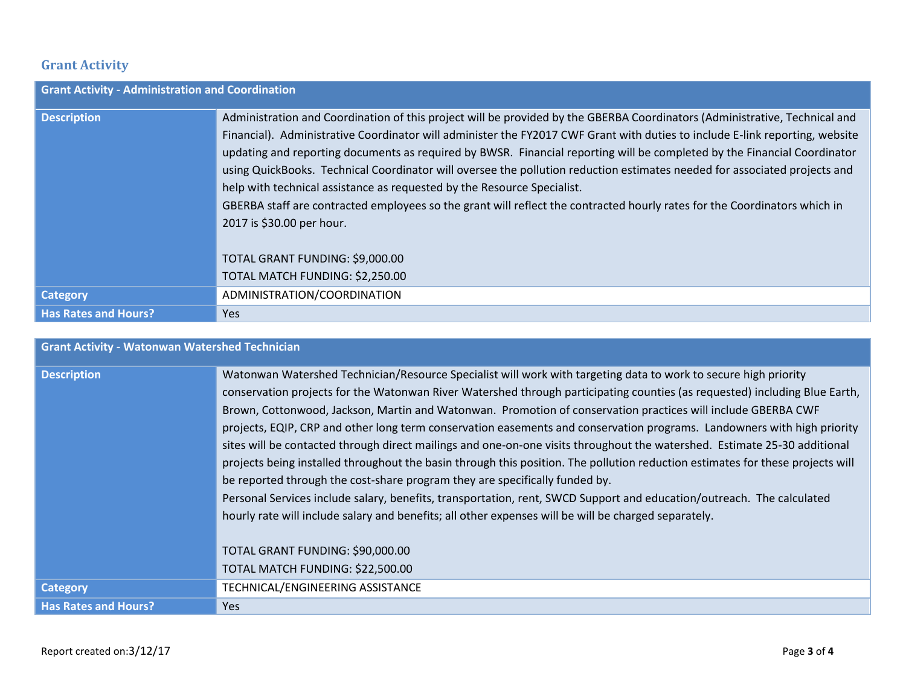### **Grant Activity**

| <b>Grant Activity - Administration and Coordination</b> |                                                                                                                                                                                                                                                                                                                                                                                                                                                                                                                                                                                                                                                                                                                                                                                                                                |  |  |  |
|---------------------------------------------------------|--------------------------------------------------------------------------------------------------------------------------------------------------------------------------------------------------------------------------------------------------------------------------------------------------------------------------------------------------------------------------------------------------------------------------------------------------------------------------------------------------------------------------------------------------------------------------------------------------------------------------------------------------------------------------------------------------------------------------------------------------------------------------------------------------------------------------------|--|--|--|
| <b>Description</b>                                      | Administration and Coordination of this project will be provided by the GBERBA Coordinators (Administrative, Technical and<br>Financial). Administrative Coordinator will administer the FY2017 CWF Grant with duties to include E-link reporting, website<br>updating and reporting documents as required by BWSR. Financial reporting will be completed by the Financial Coordinator<br>using QuickBooks. Technical Coordinator will oversee the pollution reduction estimates needed for associated projects and<br>help with technical assistance as requested by the Resource Specialist.<br>GBERBA staff are contracted employees so the grant will reflect the contracted hourly rates for the Coordinators which in<br>2017 is \$30.00 per hour.<br>TOTAL GRANT FUNDING: \$9,000.00<br>TOTAL MATCH FUNDING: \$2,250.00 |  |  |  |
| <b>Category</b>                                         | ADMINISTRATION/COORDINATION                                                                                                                                                                                                                                                                                                                                                                                                                                                                                                                                                                                                                                                                                                                                                                                                    |  |  |  |
| <b>Has Rates and Hours?</b>                             | <b>Yes</b>                                                                                                                                                                                                                                                                                                                                                                                                                                                                                                                                                                                                                                                                                                                                                                                                                     |  |  |  |

| <b>Grant Activity - Watonwan Watershed Technician</b> |                                                                                                                                |
|-------------------------------------------------------|--------------------------------------------------------------------------------------------------------------------------------|
| <b>Description</b>                                    | Watonwan Watershed Technician/Resource Specialist will work with targeting data to work to secure high priority                |
|                                                       | conservation projects for the Watonwan River Watershed through participating counties (as requested) including Blue Earth,     |
|                                                       | Brown, Cottonwood, Jackson, Martin and Watonwan. Promotion of conservation practices will include GBERBA CWF                   |
|                                                       | projects, EQIP, CRP and other long term conservation easements and conservation programs. Landowners with high priority        |
|                                                       | sites will be contacted through direct mailings and one-on-one visits throughout the watershed. Estimate 25-30 additional      |
|                                                       | projects being installed throughout the basin through this position. The pollution reduction estimates for these projects will |
|                                                       | be reported through the cost-share program they are specifically funded by.                                                    |
|                                                       | Personal Services include salary, benefits, transportation, rent, SWCD Support and education/outreach. The calculated          |
|                                                       | hourly rate will include salary and benefits; all other expenses will be will be charged separately.                           |
|                                                       |                                                                                                                                |
|                                                       | TOTAL GRANT FUNDING: \$90,000.00                                                                                               |
|                                                       | TOTAL MATCH FUNDING: \$22,500.00                                                                                               |
| <b>Category</b>                                       | TECHNICAL/ENGINEERING ASSISTANCE                                                                                               |
| <b>Has Rates and Hours?</b>                           | Yes                                                                                                                            |